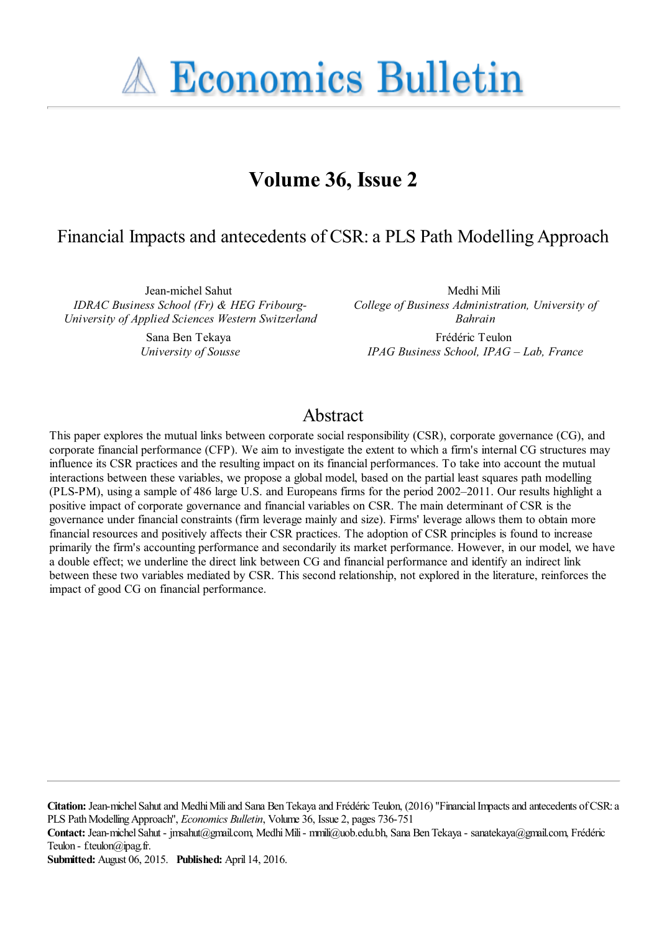**A Economics Bulletin** 

# **Volume 36, Issue 2**

## Financial Impacts and antecedents of CSR: a PLS Path Modelling Approach

Jean-michel Sahut *IDRAC Business School (Fr) & HEG Fribourg-University of Applied Sciences Western Switzerland*

> Sana Ben Tekaya *University of Sousse*

Medhi Mili *College of Business Administration, University of Bahrain*

Frédéric Teulon *IPAG Business School, IPAG – Lab, France*

## Abstract

This paper explores the mutual links between corporate social responsibility (CSR), corporate governance (CG), and corporate financial performance (CFP). We aim to investigate the extent to which a firm's internal CG structures may influence its CSR practices and the resulting impact on its financial performances. To take into account the mutual interactions between these variables, we propose a global model, based on the partial least squares path modelling (PLS-PM), using a sample of 486 large U.S. and Europeans firms for the period 2002–2011. Our results highlight a positive impact of corporate governance and financial variables on CSR. The main determinant of CSR is the governance under financial constraints (firm leverage mainly and size). Firms' leverage allows them to obtain more financial resources and positively affects their CSR practices. The adoption of CSR principles is found to increase primarily the firm's accounting performance and secondarily its market performance. However, in our model, we have a double effect; we underline the direct link between CG and financial performance and identify an indirect link between these two variables mediated by CSR. This second relationship, not explored in the literature, reinforces the impact of good CG on financial performance.

**Citation:** Jean-michel Sahut and Medhi Mili and Sana Ben Tekaya and Frédéric Teulon, (2016) ''Financial Impacts and antecedents of CSR: a PLS Path Modelling Approach'', *Economics Bulletin*, Volume 36, Issue 2, pages 736-751

**Contact:** Jean-michel Sahut - jmsahut@gmail.com, Medhi Mili - mmili@uob.edu.bh, Sana Ben Tekaya - sanatekaya@gmail.com, Frédéric Teulon - f.teulon@ipag.fr.

**Submitted:** August 06, 2015. **Published:** April 14, 2016.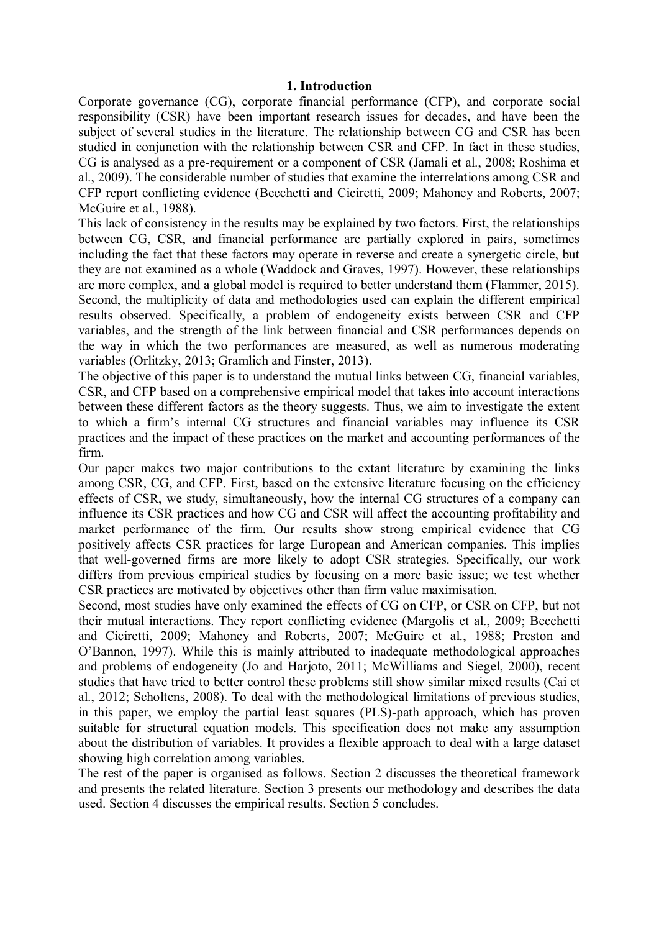#### **1. Introduction**

Corporate governance (CG), corporate financial performance (CFP), and corporate social responsibility (CSR) have been important research issues for decades, and have been the subject of several studies in the literature. The relationship between CG and CSR has been studied in conjunction with the relationship between CSR and CFP. In fact in these studies, CG is analysed as a pre-requirement or a component of CSR (Jamali et al., 2008; Roshima et al., 2009). The considerable number of studies that examine the interrelations among CSR and CFP report conflicting evidence (Becchetti and Ciciretti, 2009; Mahoney and Roberts, 2007; McGuire et al., 1988).

This lack of consistency in the results may be explained by two factors. First, the relationships between CG, CSR, and financial performance are partially explored in pairs, sometimes including the fact that these factors may operate in reverse and create a synergetic circle, but they are not examined as a whole (Waddock and Graves, 1997). However, these relationships are more complex, and a global model is required to better understand them (Flammer, 2015). Second, the multiplicity of data and methodologies used can explain the different empirical results observed. Specifically, a problem of endogeneity exists between CSR and CFP variables, and the strength of the link between financial and CSR performances depends on the way in which the two performances are measured, as well as numerous moderating variables (Orlitzky, 2013; Gramlich and Finster, 2013).

The objective of this paper is to understand the mutual links between CG, financial variables, CSR, and CFP based on a comprehensive empirical model that takes into account interactions between these different factors as the theory suggests. Thus, we aim to investigate the extent to which a firm's internal CG structures and financial variables may influence its CSR practices and the impact of these practices on the market and accounting performances of the firm.

Our paper makes two major contributions to the extant literature by examining the links among CSR, CG, and CFP. First, based on the extensive literature focusing on the efficiency effects of CSR, we study, simultaneously, how the internal CG structures of a company can influence its CSR practices and how CG and CSR will affect the accounting profitability and market performance of the firm. Our results show strong empirical evidence that CG positively affects CSR practices for large European and American companies. This implies that well-governed firms are more likely to adopt CSR strategies. Specifically, our work differs from previous empirical studies by focusing on a more basic issue; we test whether CSR practices are motivated by objectives other than firm value maximisation.

Second, most studies have only examined the effects of CG on CFP, or CSR on CFP, but not their mutual interactions. They report conflicting evidence (Margolis et al., 2009; Becchetti and Ciciretti, 2009; Mahoney and Roberts, 2007; McGuire et al., 1988; Preston and O'Bannon, 1997). While this is mainly attributed to inadequate methodological approaches and problems of endogeneity (Jo and Harjoto, 2011; McWilliams and Siegel, 2000), recent studies that have tried to better control these problems still show similar mixed results (Cai et al., 2012; Scholtens, 2008). To deal with the methodological limitations of previous studies, in this paper, we employ the partial least squares (PLS)-path approach, which has proven suitable for structural equation models. This specification does not make any assumption about the distribution of variables. It provides a flexible approach to deal with a large dataset showing high correlation among variables.

The rest of the paper is organised as follows. Section 2 discusses the theoretical framework and presents the related literature. Section 3 presents our methodology and describes the data used. Section 4 discusses the empirical results. Section 5 concludes.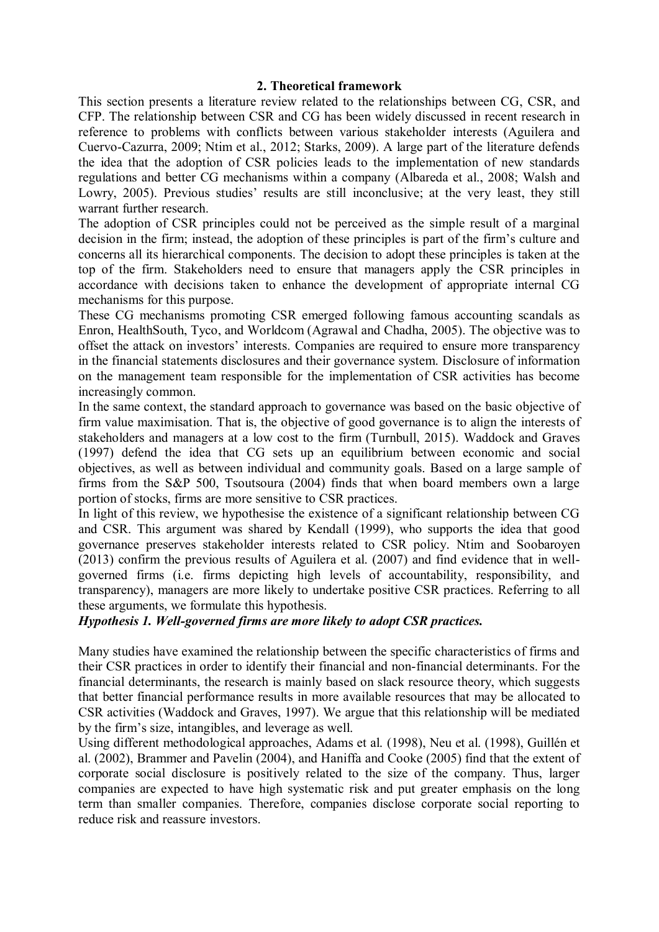#### **2. Theoretical framework**

This section presents a literature review related to the relationships between CG, CSR, and CFP. The relationship between CSR and CG has been widely discussed in recent research in reference to problems with conflicts between various stakeholder interests (Aguilera and Cuervo-Cazurra, 2009; Ntim et al., 2012; Starks, 2009). A large part of the literature defends the idea that the adoption of CSR policies leads to the implementation of new standards regulations and better CG mechanisms within a company (Albareda et al., 2008; Walsh and Lowry, 2005). Previous studies' results are still inconclusive; at the very least, they still warrant further research.

The adoption of CSR principles could not be perceived as the simple result of a marginal decision in the firm; instead, the adoption of these principles is part of the firm's culture and concerns all its hierarchical components. The decision to adopt these principles is taken at the top of the firm. Stakeholders need to ensure that managers apply the CSR principles in accordance with decisions taken to enhance the development of appropriate internal CG mechanisms for this purpose.

These CG mechanisms promoting CSR emerged following famous accounting scandals as Enron, HealthSouth, Tyco, and Worldcom (Agrawal and Chadha, 2005). The objective was to offset the attack on investors' interests. Companies are required to ensure more transparency in the financial statements disclosures and their governance system. Disclosure of information on the management team responsible for the implementation of CSR activities has become increasingly common.

In the same context, the standard approach to governance was based on the basic objective of firm value maximisation. That is, the objective of good governance is to align the interests of stakeholders and managers at a low cost to the firm (Turnbull, 2015). Waddock and Graves (1997) defend the idea that CG sets up an equilibrium between economic and social objectives, as well as between individual and community goals. Based on a large sample of firms from the S&P 500, Tsoutsoura (2004) finds that when board members own a large portion of stocks, firms are more sensitive to CSR practices.

In light of this review, we hypothesise the existence of a significant relationship between CG and CSR. This argument was shared by Kendall (1999), who supports the idea that good governance preserves stakeholder interests related to CSR policy. Ntim and Soobaroyen (2013) confirm the previous results of Aguilera et al. (2007) and find evidence that in wellgoverned firms (i.e. firms depicting high levels of accountability, responsibility, and transparency), managers are more likely to undertake positive CSR practices. Referring to all these arguments, we formulate this hypothesis.

### *Hypothesis 1. Well-governed firms are more likely to adopt CSR practices.*

Many studies have examined the relationship between the specific characteristics of firms and their CSR practices in order to identify their financial and non-financial determinants. For the financial determinants, the research is mainly based on slack resource theory, which suggests that better financial performance results in more available resources that may be allocated to CSR activities (Waddock and Graves, 1997). We argue that this relationship will be mediated by the firm's size, intangibles, and leverage as well.

Using different methodological approaches, Adams et al. (1998), Neu et al. (1998), Guillén et al. (2002), Brammer and Pavelin (2004), and Haniffa and Cooke (2005) find that the extent of corporate social disclosure is positively related to the size of the company. Thus, larger companies are expected to have high systematic risk and put greater emphasis on the long term than smaller companies. Therefore, companies disclose corporate social reporting to reduce risk and reassure investors.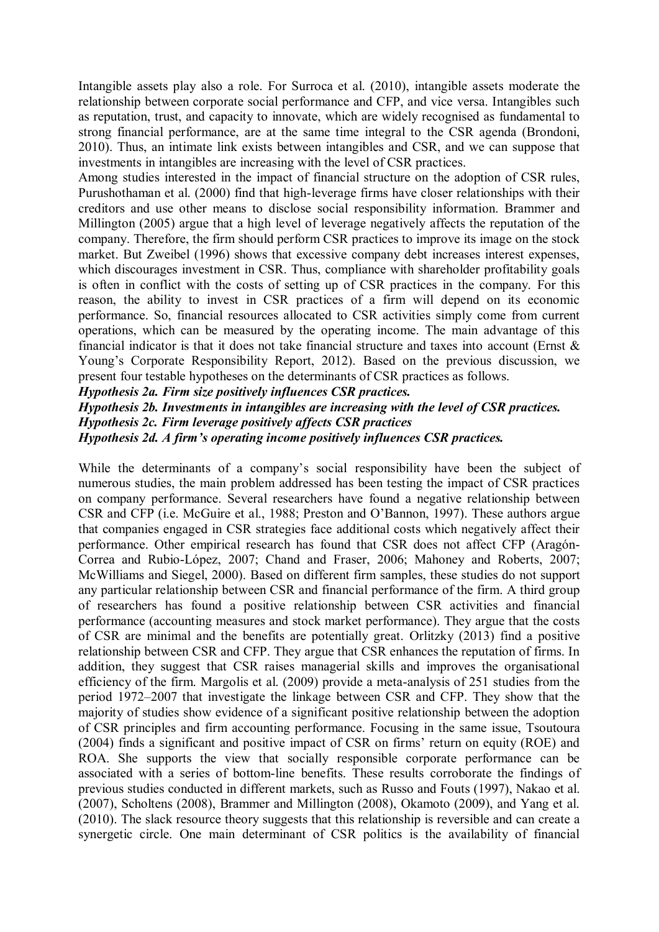Intangible assets play also a role. For Surroca et al. (2010), intangible assets moderate the relationship between corporate social performance and CFP, and vice versa. Intangibles such as reputation, trust, and capacity to innovate, which are widely recognised as fundamental to strong financial performance, are at the same time integral to the CSR agenda (Brondoni, 2010). Thus, an intimate link exists between intangibles and CSR, and we can suppose that investments in intangibles are increasing with the level of CSR practices.

Among studies interested in the impact of financial structure on the adoption of CSR rules, Purushothaman et al. (2000) find that high-leverage firms have closer relationships with their creditors and use other means to disclose social responsibility information. Brammer and Millington (2005) argue that a high level of leverage negatively affects the reputation of the company. Therefore, the firm should perform CSR practices to improve its image on the stock market. But Zweibel (1996) shows that excessive company debt increases interest expenses, which discourages investment in CSR. Thus, compliance with shareholder profitability goals is often in conflict with the costs of setting up of CSR practices in the company. For this reason, the ability to invest in CSR practices of a firm will depend on its economic performance. So, financial resources allocated to CSR activities simply come from current operations, which can be measured by the operating income. The main advantage of this financial indicator is that it does not take financial structure and taxes into account (Ernst  $\&$ Young's Corporate Responsibility Report, 2012). Based on the previous discussion, we present four testable hypotheses on the determinants of CSR practices as follows.

*Hypothesis 2a. Firm size positively influences CSR practices.* 

*Hypothesis 2b. Investments in intangibles are increasing with the level of CSR practices. Hypothesis 2c. Firm leverage positively affects CSR practices Hypothesis 2d. A firm's operating income positively influences CSR practices.* 

While the determinants of a company's social responsibility have been the subject of numerous studies, the main problem addressed has been testing the impact of CSR practices on company performance. Several researchers have found a negative relationship between CSR and CFP (i.e. McGuire et al., 1988; Preston and O'Bannon, 1997). These authors argue that companies engaged in CSR strategies face additional costs which negatively affect their performance. Other empirical research has found that CSR does not affect CFP (Aragón-Correa and Rubio-López, 2007; Chand and Fraser, 2006; Mahoney and Roberts, 2007; McWilliams and Siegel, 2000). Based on different firm samples, these studies do not support any particular relationship between CSR and financial performance of the firm. A third group of researchers has found a positive relationship between CSR activities and financial performance (accounting measures and stock market performance). They argue that the costs of CSR are minimal and the benefits are potentially great. Orlitzky (2013) find a positive relationship between CSR and CFP. They argue that CSR enhances the reputation of firms. In addition, they suggest that CSR raises managerial skills and improves the organisational efficiency of the firm. Margolis et al. (2009) provide a meta-analysis of 251 studies from the period 1972–2007 that investigate the linkage between CSR and CFP. They show that the majority of studies show evidence of a significant positive relationship between the adoption of CSR principles and firm accounting performance. Focusing in the same issue, Tsoutoura (2004) finds a significant and positive impact of CSR on firms' return on equity (ROE) and ROA. She supports the view that socially responsible corporate performance can be associated with a series of bottom-line benefits. These results corroborate the findings of previous studies conducted in different markets, such as Russo and Fouts (1997), Nakao et al. (2007), Scholtens (2008), Brammer and Millington (2008), Okamoto (2009), and Yang et al. (2010). The slack resource theory suggests that this relationship is reversible and can create a synergetic circle. One main determinant of CSR politics is the availability of financial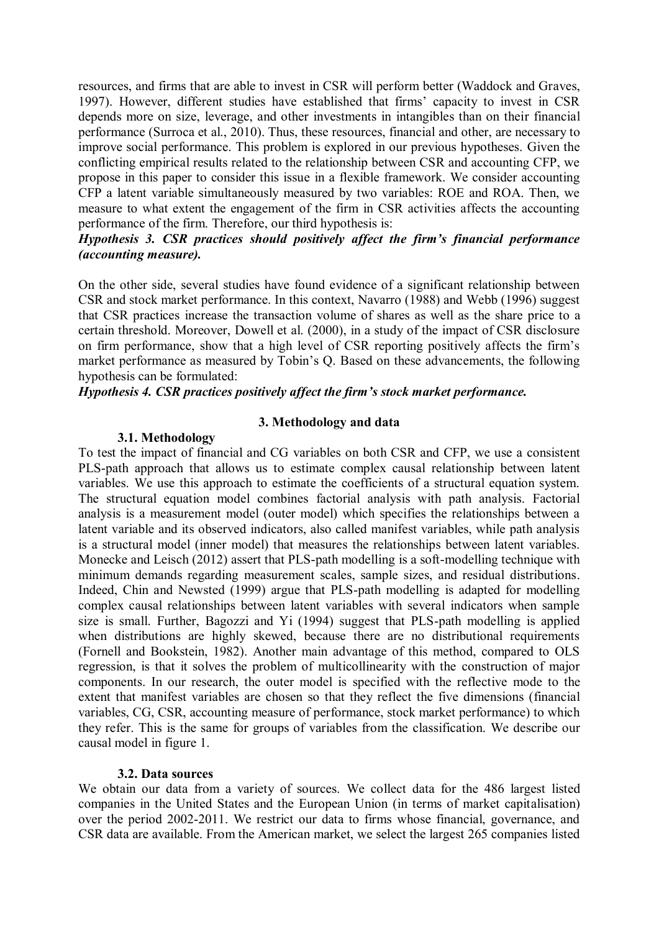resources, and firms that are able to invest in CSR will perform better (Waddock and Graves, 1997). However, different studies have established that firms' capacity to invest in CSR depends more on size, leverage, and other investments in intangibles than on their financial performance (Surroca et al., 2010). Thus, these resources, financial and other, are necessary to improve social performance. This problem is explored in our previous hypotheses. Given the conflicting empirical results related to the relationship between CSR and accounting CFP, we propose in this paper to consider this issue in a flexible framework. We consider accounting CFP a latent variable simultaneously measured by two variables: ROE and ROA. Then, we measure to what extent the engagement of the firm in CSR activities affects the accounting performance of the firm. Therefore, our third hypothesis is:

### *Hypothesis 3. CSR practices should positively affect the firm's financial performance (accounting measure).*

On the other side, several studies have found evidence of a significant relationship between CSR and stock market performance. In this context, Navarro (1988) and Webb (1996) suggest that CSR practices increase the transaction volume of shares as well as the share price to a certain threshold. Moreover, Dowell et al. (2000), in a study of the impact of CSR disclosure on firm performance, show that a high level of CSR reporting positively affects the firm's market performance as measured by Tobin's Q. Based on these advancements, the following hypothesis can be formulated:

#### *Hypothesis 4. CSR practices positively affect the firm's stock market performance.*

#### **3. Methodology and data**

#### **3.1. Methodology**

To test the impact of financial and CG variables on both CSR and CFP, we use a consistent PLS-path approach that allows us to estimate complex causal relationship between latent variables. We use this approach to estimate the coefficients of a structural equation system. The structural equation model combines factorial analysis with path analysis. Factorial analysis is a measurement model (outer model) which specifies the relationships between a latent variable and its observed indicators, also called manifest variables, while path analysis is a structural model (inner model) that measures the relationships between latent variables. Monecke and Leisch (2012) assert that PLS-path modelling is a soft-modelling technique with minimum demands regarding measurement scales, sample sizes, and residual distributions. Indeed, Chin and Newsted (1999) argue that PLS-path modelling is adapted for modelling complex causal relationships between latent variables with several indicators when sample size is small. Further, Bagozzi and Yi (1994) suggest that PLS-path modelling is applied when distributions are highly skewed, because there are no distributional requirements (Fornell and Bookstein, 1982). Another main advantage of this method, compared to OLS regression, is that it solves the problem of multicollinearity with the construction of major components. In our research, the outer model is specified with the reflective mode to the extent that manifest variables are chosen so that they reflect the five dimensions (financial variables, CG, CSR, accounting measure of performance, stock market performance) to which they refer. This is the same for groups of variables from the classification. We describe our causal model in figure 1.

#### **3.2. Data sources**

We obtain our data from a variety of sources. We collect data for the 486 largest listed companies in the United States and the European Union (in terms of market capitalisation) over the period 2002-2011. We restrict our data to firms whose financial, governance, and CSR data are available. From the American market, we select the largest 265 companies listed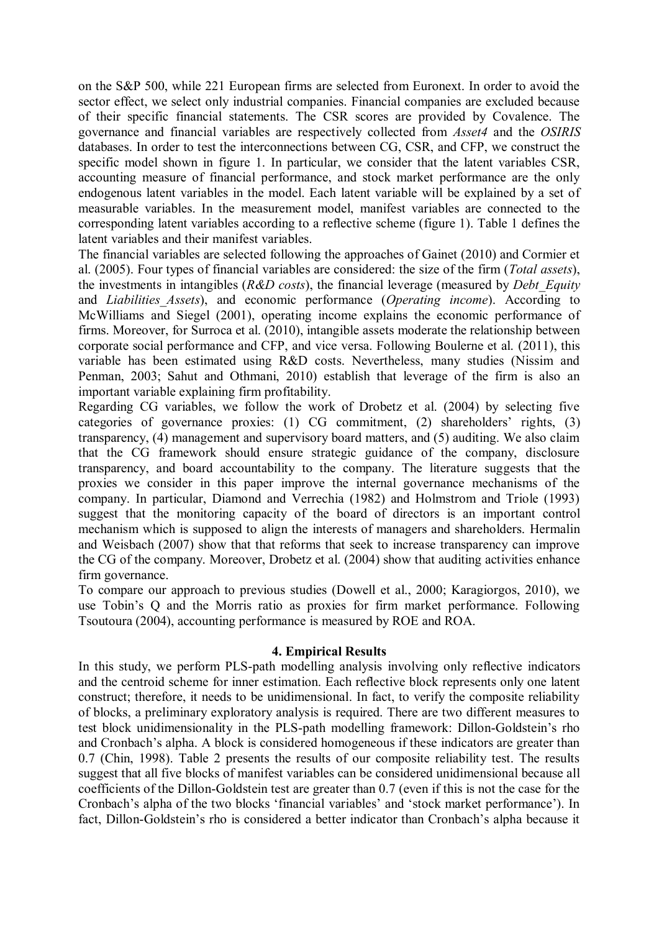on the S&P 500, while 221 European firms are selected from Euronext. In order to avoid the sector effect, we select only industrial companies. Financial companies are excluded because of their specific financial statements. The CSR scores are provided by Covalence. The governance and financial variables are respectively collected from *Asset4* and the *OSIRIS* databases. In order to test the interconnections between CG, CSR, and CFP, we construct the specific model shown in figure 1. In particular, we consider that the latent variables CSR, accounting measure of financial performance, and stock market performance are the only endogenous latent variables in the model. Each latent variable will be explained by a set of measurable variables. In the measurement model, manifest variables are connected to the corresponding latent variables according to a reflective scheme (figure 1). Table 1 defines the latent variables and their manifest variables.

The financial variables are selected following the approaches of Gainet (2010) and Cormier et al. (2005). Four types of financial variables are considered: the size of the firm (*Total assets*), the investments in intangibles (*R&D costs*), the financial leverage (measured by *Debt\_Equity* and *Liabilities\_Assets*), and economic performance (*Operating income*). According to McWilliams and Siegel (2001), operating income explains the economic performance of firms. Moreover, for Surroca et al. (2010), intangible assets moderate the relationship between corporate social performance and CFP, and vice versa. Following Boulerne et al. (2011), this variable has been estimated using R&D costs. Nevertheless, many studies (Nissim and Penman, 2003; Sahut and Othmani, 2010) establish that leverage of the firm is also an important variable explaining firm profitability.

Regarding CG variables, we follow the work of Drobetz et al. (2004) by selecting five categories of governance proxies: (1) CG commitment, (2) shareholders' rights, (3) transparency, (4) management and supervisory board matters, and (5) auditing. We also claim that the CG framework should ensure strategic guidance of the company, disclosure transparency, and board accountability to the company. The literature suggests that the proxies we consider in this paper improve the internal governance mechanisms of the company. In particular, Diamond and Verrechia (1982) and Holmstrom and Triole (1993) suggest that the monitoring capacity of the board of directors is an important control mechanism which is supposed to align the interests of managers and shareholders. Hermalin and Weisbach (2007) show that that reforms that seek to increase transparency can improve the CG of the company. Moreover, Drobetz et al. (2004) show that auditing activities enhance firm governance.

To compare our approach to previous studies (Dowell et al., 2000; Karagiorgos, 2010), we use Tobin's Q and the Morris ratio as proxies for firm market performance. Following Tsoutoura (2004), accounting performance is measured by ROE and ROA.

#### **4. Empirical Results**

In this study, we perform PLS-path modelling analysis involving only reflective indicators and the centroid scheme for inner estimation. Each reflective block represents only one latent construct; therefore, it needs to be unidimensional. In fact, to verify the composite reliability of blocks, a preliminary exploratory analysis is required. There are two different measures to test block unidimensionality in the PLS-path modelling framework: Dillon-Goldstein's rho and Cronbach's alpha. A block is considered homogeneous if these indicators are greater than 0.7 (Chin, 1998). Table 2 presents the results of our composite reliability test. The results suggest that all five blocks of manifest variables can be considered unidimensional because all coefficients of the Dillon-Goldstein test are greater than 0.7 (even if this is not the case for the Cronbach's alpha of the two blocks 'financial variables' and 'stock market performance'). In fact, Dillon-Goldstein's rho is considered a better indicator than Cronbach's alpha because it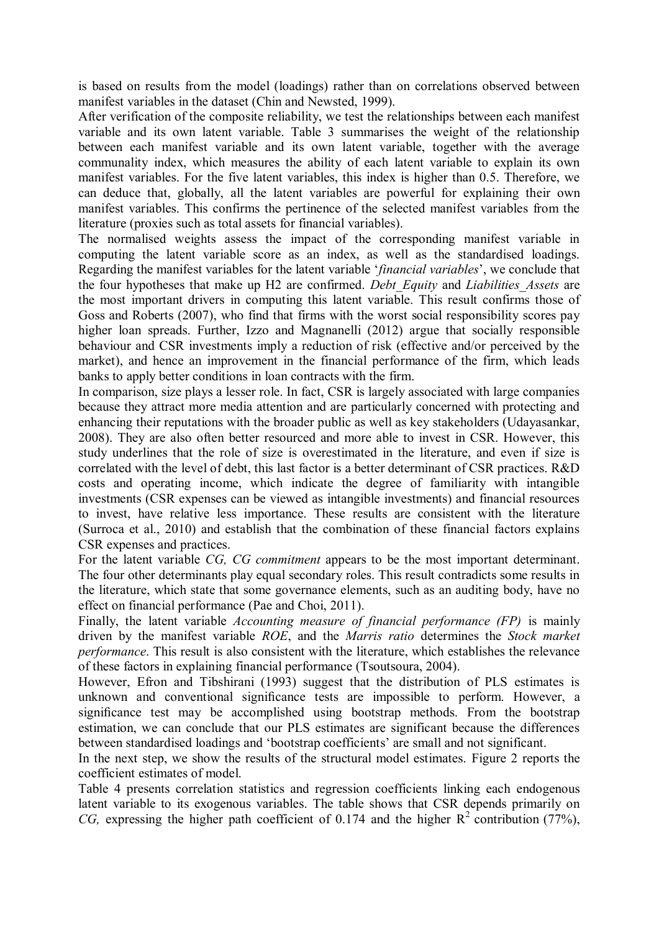is based on results from the model (loadings) rather than on correlations observed between manifest variables in the dataset (Chin and Newsted, 1999).

After verification of the composite reliability, we test the relationships between each manifest variable and its own latent variable. Table 3 summarises the weight of the relationship between each manifest variable and its own latent variable, together with the average communality index, which measures the ability of each latent variable to explain its own manifest variables. For the five latent variables, this index is higher than 0.5. Therefore, we can deduce that, globally, all the latent variables are powerful for explaining their own manifest variables. This confirms the pertinence of the selected manifest variables from the literature (proxies such as total assets for financial variables).

The normalised weights assess the impact of the corresponding manifest variable in computing the latent variable score as an index, as well as the standardised loadings. Regarding the manifest variables for the latent variable '*financial variables*', we conclude that the four hypotheses that make up H2 are confirmed. *Debt\_Equity* and *Liabilities\_Assets* are the most important drivers in computing this latent variable. This result confirms those of Goss and Roberts (2007), who find that firms with the worst social responsibility scores pay higher loan spreads. Further, Izzo and Magnanelli (2012) argue that socially responsible behaviour and CSR investments imply a reduction of risk (effective and/or perceived by the market), and hence an improvement in the financial performance of the firm, which leads banks to apply better conditions in loan contracts with the firm.

In comparison, size plays a lesser role. In fact, CSR is largely associated with large companies because they attract more media attention and are particularly concerned with protecting and enhancing their reputations with the broader public as well as key stakeholders (Udayasankar, 2008). They are also often better resourced and more able to invest in CSR. However, this study underlines that the role of size is overestimated in the literature, and even if size is correlated with the level of debt, this last factor is a better determinant of CSR practices. R&D costs and operating income, which indicate the degree of familiarity with intangible investments (CSR expenses can be viewed as intangible investments) and financial resources to invest, have relative less importance. These results are consistent with the literature (Surroca et al., 2010) and establish that the combination of these financial factors explains CSR expenses and practices.

For the latent variable *CG, CG commitment* appears to be the most important determinant. The four other determinants play equal secondary roles. This result contradicts some results in the literature, which state that some governance elements, such as an auditing body, have no effect on financial performance (Pae and Choi, 2011).

Finally, the latent variable *Accounting measure of financial performance (FP)* is mainly driven by the manifest variable *ROE*, and the *Marris ratio* determines the *Stock market performance*. This result is also consistent with the literature, which establishes the relevance of these factors in explaining financial performance (Tsoutsoura, 2004).

However, Efron and Tibshirani (1993) suggest that the distribution of PLS estimates is unknown and conventional significance tests are impossible to perform. However, a significance test may be accomplished using bootstrap methods. From the bootstrap estimation, we can conclude that our PLS estimates are significant because the differences between standardised loadings and 'bootstrap coefficients' are small and not significant.

In the next step, we show the results of the structural model estimates. Figure 2 reports the coefficient estimates of model.

Table 4 presents correlation statistics and regression coefficients linking each endogenous latent variable to its exogenous variables. The table shows that CSR depends primarily on *CG*, expressing the higher path coefficient of 0.174 and the higher  $R^2$  contribution (77%),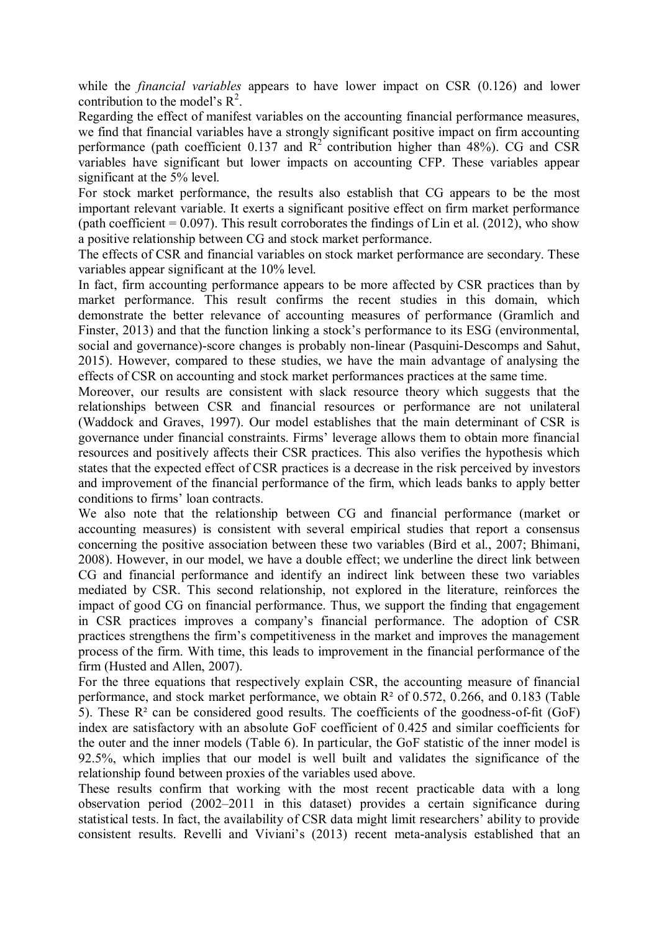while the *financial variables* appears to have lower impact on CSR (0.126) and lower contribution to the model's  $R^2$ .

Regarding the effect of manifest variables on the accounting financial performance measures, we find that financial variables have a strongly significant positive impact on firm accounting performance (path coefficient 0.137 and  $\mathbb{R}^2$  contribution higher than 48%). CG and CSR variables have significant but lower impacts on accounting CFP. These variables appear significant at the 5% level.

For stock market performance, the results also establish that CG appears to be the most important relevant variable. It exerts a significant positive effect on firm market performance (path coefficient  $= 0.097$ ). This result corroborates the findings of Lin et al. (2012), who show a positive relationship between CG and stock market performance.

The effects of CSR and financial variables on stock market performance are secondary. These variables appear significant at the 10% level.

In fact, firm accounting performance appears to be more affected by CSR practices than by market performance. This result confirms the recent studies in this domain, which demonstrate the better relevance of accounting measures of performance (Gramlich and Finster, 2013) and that the function linking a stock's performance to its ESG (environmental, social and governance)-score changes is probably non-linear (Pasquini-Descomps and Sahut, 2015). However, compared to these studies, we have the main advantage of analysing the effects of CSR on accounting and stock market performances practices at the same time.

Moreover, our results are consistent with slack resource theory which suggests that the relationships between CSR and financial resources or performance are not unilateral (Waddock and Graves, 1997). Our model establishes that the main determinant of CSR is governance under financial constraints. Firms' leverage allows them to obtain more financial resources and positively affects their CSR practices. This also verifies the hypothesis which states that the expected effect of CSR practices is a decrease in the risk perceived by investors and improvement of the financial performance of the firm, which leads banks to apply better conditions to firms' loan contracts.

We also note that the relationship between CG and financial performance (market or accounting measures) is consistent with several empirical studies that report a consensus concerning the positive association between these two variables (Bird et al., 2007; Bhimani, 2008). However, in our model, we have a double effect; we underline the direct link between CG and financial performance and identify an indirect link between these two variables mediated by CSR. This second relationship, not explored in the literature, reinforces the impact of good CG on financial performance. Thus, we support the finding that engagement in CSR practices improves a company's financial performance. The adoption of CSR practices strengthens the firm's competitiveness in the market and improves the management process of the firm. With time, this leads to improvement in the financial performance of the firm (Husted and Allen, 2007).

For the three equations that respectively explain CSR, the accounting measure of financial performance, and stock market performance, we obtain R² of 0.572, 0.266, and 0.183 (Table 5). These  $R^2$  can be considered good results. The coefficients of the goodness-of-fit (GoF) index are satisfactory with an absolute GoF coefficient of 0.425 and similar coefficients for the outer and the inner models (Table 6). In particular, the GoF statistic of the inner model is 92.5%, which implies that our model is well built and validates the significance of the relationship found between proxies of the variables used above.

These results confirm that working with the most recent practicable data with a long observation period (2002–2011 in this dataset) provides a certain significance during statistical tests. In fact, the availability of CSR data might limit researchers' ability to provide consistent results. Revelli and Viviani's (2013) recent meta-analysis established that an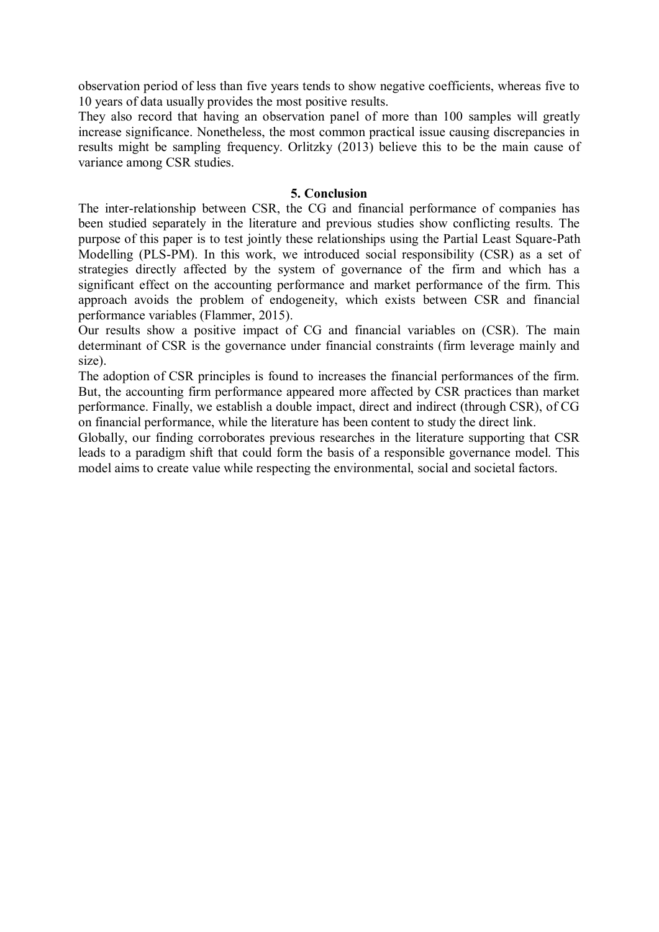observation period of less than five years tends to show negative coefficients, whereas five to 10 years of data usually provides the most positive results.

They also record that having an observation panel of more than 100 samples will greatly increase significance. Nonetheless, the most common practical issue causing discrepancies in results might be sampling frequency. Orlitzky (2013) believe this to be the main cause of variance among CSR studies.

#### **5. Conclusion**

The inter-relationship between CSR, the CG and financial performance of companies has been studied separately in the literature and previous studies show conflicting results. The purpose of this paper is to test jointly these relationships using the Partial Least Square-Path Modelling (PLS-PM). In this work, we introduced social responsibility (CSR) as a set of strategies directly affected by the system of governance of the firm and which has a significant effect on the accounting performance and market performance of the firm. This approach avoids the problem of endogeneity, which exists between CSR and financial performance variables (Flammer, 2015).

Our results show a positive impact of CG and financial variables on (CSR). The main determinant of CSR is the governance under financial constraints (firm leverage mainly and size).

The adoption of CSR principles is found to increases the financial performances of the firm. But, the accounting firm performance appeared more affected by CSR practices than market performance. Finally, we establish a double impact, direct and indirect (through CSR), of CG on financial performance, while the literature has been content to study the direct link.

Globally, our finding corroborates previous researches in the literature supporting that CSR leads to a paradigm shift that could form the basis of a responsible governance model. This model aims to create value while respecting the environmental, social and societal factors.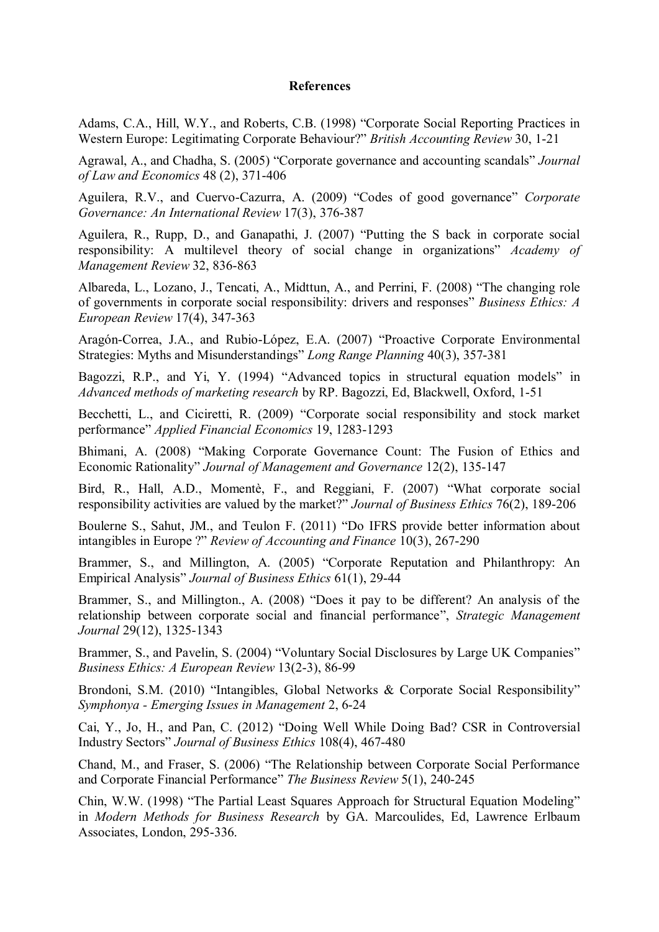#### **References**

Adams, C.A., Hill, W.Y., and Roberts, C.B. (1998) "Corporate Social Reporting Practices in Western Europe: Legitimating Corporate Behaviour?" *British Accounting Review* 30, 1-21

Agrawal, A., and Chadha, S. (2005) "Corporate governance and accounting scandals" *Journal of Law and Economics* 48 (2), 371-406

Aguilera, R.V., and Cuervo-Cazurra, A. (2009) "Codes of good governance" *Corporate Governance: An International Review* 17(3), 376-387

Aguilera, R., Rupp, D., and Ganapathi, J. (2007) "Putting the S back in corporate social responsibility: A multilevel theory of social change in organizations" *Academy of Management Review* 32, 836-863

Albareda, L., Lozano, J., Tencati, A., Midttun, A., and Perrini, F. (2008) "The changing role of governments in corporate social responsibility: drivers and responses" *Business Ethics: A European Review* 17(4), 347-363

Aragón-Correa, J.A., and Rubio-López, E.A. (2007) "Proactive Corporate Environmental Strategies: Myths and Misunderstandings" *Long Range Planning* 40(3), 357-381

Bagozzi, R.P., and Yi, Y. (1994) "Advanced topics in structural equation models" in *Advanced methods of marketing research* by RP. Bagozzi, Ed, Blackwell, Oxford, 1-51

Becchetti, L., and Ciciretti, R. (2009) "Corporate social responsibility and stock market performance" *Applied Financial Economics* 19, 1283-1293

Bhimani, A. (2008) "Making Corporate Governance Count: The Fusion of Ethics and Economic Rationality" *Journal of Management and Governance* 12(2), 135-147

Bird, R., Hall, A.D., Momentè, F., and Reggiani, F. (2007) "What corporate social responsibility activities are valued by the market?" *Journal of Business Ethics* 76(2), 189-206

Boulerne S., Sahut, JM., and Teulon F. (2011) "Do IFRS provide better information about intangibles in Europe ?" *Review of Accounting and Finance* 10(3), 267-290

Brammer, S., and Millington, A. (2005) "Corporate Reputation and Philanthropy: An Empirical Analysis" *Journal of Business Ethics* 61(1), 29-44

Brammer, S., and Millington., A. (2008) "Does it pay to be different? An analysis of the relationship between corporate social and financial performance", *Strategic Management Journal* 29(12), 1325-1343

Brammer, S., and Pavelin, S. (2004) "Voluntary Social Disclosures by Large UK Companies" *Business Ethics: A European Review* 13(2-3), 86-99

Brondoni, S.M. (2010) "Intangibles, Global Networks & Corporate Social Responsibility" *Symphonya - Emerging Issues in Management* 2, 6-24

Cai, Y., Jo, H., and Pan, C. (2012) "Doing Well While Doing Bad? CSR in Controversial Industry Sectors" *Journal of Business Ethics* 108(4), 467-480

Chand, M., and Fraser, S. (2006) "The Relationship between Corporate Social Performance and Corporate Financial Performance" *The Business Review* 5(1), 240-245

Chin, W.W. (1998) "The Partial Least Squares Approach for Structural Equation Modeling" in *Modern Methods for Business Research* by GA. Marcoulides, Ed, Lawrence Erlbaum Associates, London, 295-336.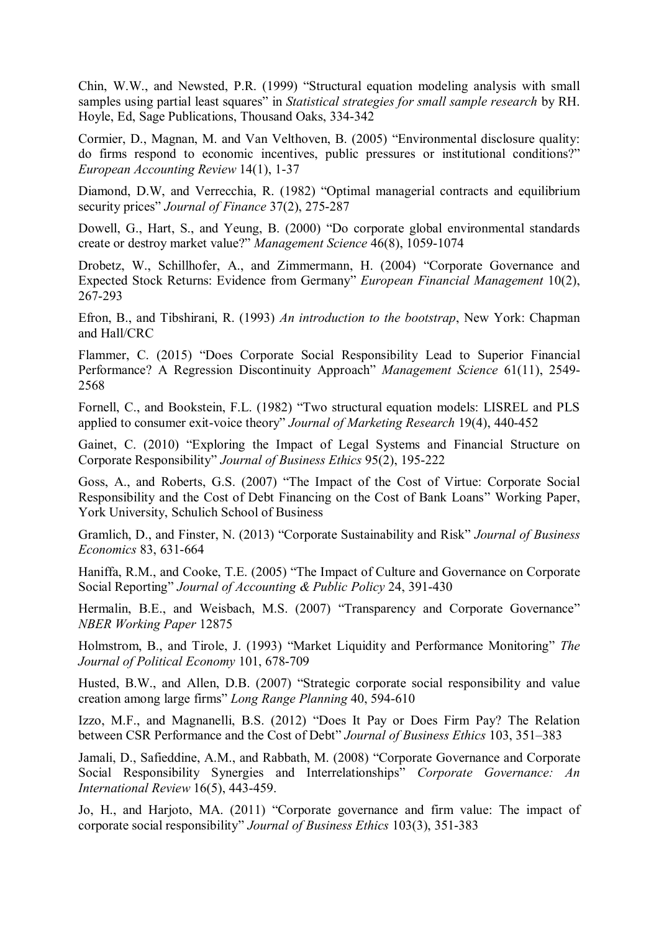Chin, W.W., and Newsted, P.R. (1999) "Structural equation modeling analysis with small samples using partial least squares" in *Statistical strategies for small sample research* by RH. Hoyle, Ed, Sage Publications, Thousand Oaks, 334-342

Cormier, D., Magnan, M. and Van Velthoven, B. (2005) "Environmental disclosure quality: do firms respond to economic incentives, public pressures or institutional conditions?" *European Accounting Review* 14(1), 1-37

Diamond, D.W, and Verrecchia, R. (1982) "Optimal managerial contracts and equilibrium security prices" *Journal of Finance* 37(2), 275-287

Dowell, G., Hart, S., and Yeung, B. (2000) "Do corporate global environmental standards create or destroy market value?" *Management Science* 46(8), 1059-1074

Drobetz, W., Schillhofer, A., and Zimmermann, H. (2004) "Corporate Governance and Expected Stock Returns: Evidence from Germany" *European Financial Management* 10(2), 267-293

Efron, B., and Tibshirani, R. (1993) *An introduction to the bootstrap*, New York: Chapman and Hall/CRC

Flammer, C. (2015) "Does Corporate Social Responsibility Lead to Superior Financial Performance? A Regression Discontinuity Approach" *Management Science* 61(11), 2549- 2568

Fornell, C., and Bookstein, F.L. (1982) "Two structural equation models: LISREL and PLS applied to consumer exit-voice theory" *Journal of Marketing Research* 19(4), 440-452

Gainet, C. (2010) "Exploring the Impact of Legal Systems and Financial Structure on Corporate Responsibility" *Journal of Business Ethics* 95(2), 195-222

Goss, A., and Roberts, G.S. (2007) "The Impact of the Cost of Virtue: Corporate Social Responsibility and the Cost of Debt Financing on the Cost of Bank Loans" Working Paper, York University, Schulich School of Business

Gramlich, D., and Finster, N. (2013) "Corporate Sustainability and Risk" *Journal of Business Economics* 83, 631-664

Haniffa, R.M., and Cooke, T.E. (2005) "The Impact of Culture and Governance on Corporate Social Reporting" *Journal of Accounting & Public Policy* 24, 391-430

Hermalin, B.E., and Weisbach, M.S. (2007) "Transparency and Corporate Governance" *NBER Working Paper* 12875

Holmstrom, B., and Tirole, J. (1993) "Market Liquidity and Performance Monitoring" *The Journal of Political Economy* 101, 678-709

Husted, B.W., and Allen, D.B. (2007) "Strategic corporate social responsibility and value creation among large firms" *Long Range Planning* 40, 594-610

Izzo, M.F., and Magnanelli, B.S. (2012) "Does It Pay or Does Firm Pay? The Relation between CSR Performance and the Cost of Debt" *Journal of Business Ethics* 103, 351–383

Jamali, D., Safieddine, A.M., and Rabbath, M. (2008) "Corporate Governance and Corporate Social Responsibility Synergies and Interrelationships" *Corporate Governance: An International Review* 16(5), 443-459.

Jo, H., and Harjoto, MA. (2011) "Corporate governance and firm value: The impact of corporate social responsibility" *Journal of Business Ethics* 103(3), 351-383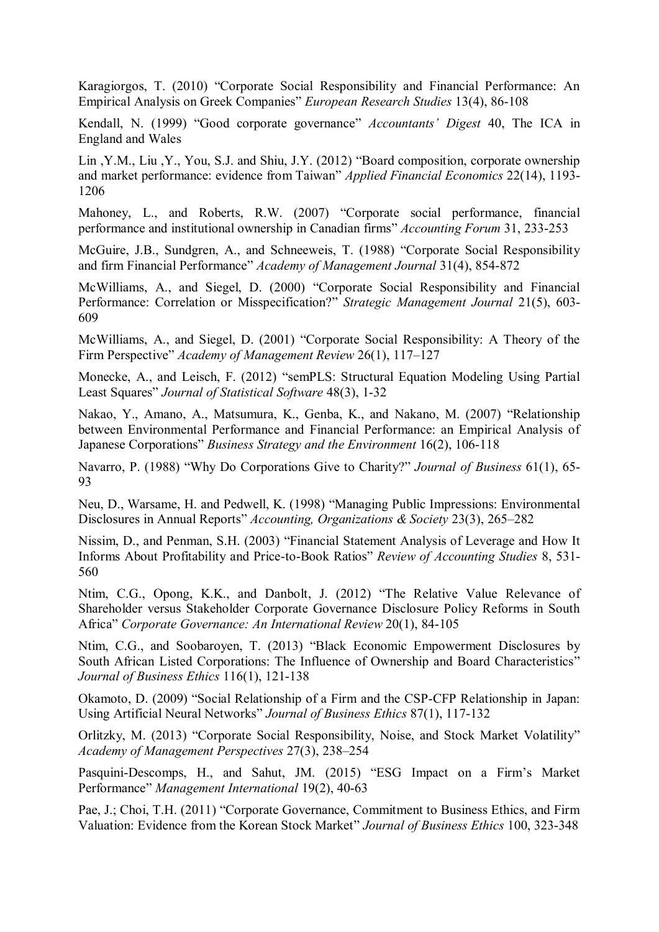Karagiorgos, T. (2010) "Corporate Social Responsibility and Financial Performance: An Empirical Analysis on Greek Companies" *European Research Studies* 13(4), 86-108

Kendall, N. (1999) "Good corporate governance" *Accountants' Digest* 40, The ICA in England and Wales

Lin ,Y.M., Liu ,Y., You, S.J. and Shiu, J.Y. (2012) "Board composition, corporate ownership and market performance: evidence from Taiwan" *Applied Financial Economics* 22(14), 1193- 1206

Mahoney, L., and Roberts, R.W. (2007) "Corporate social performance, financial performance and institutional ownership in Canadian firms" *Accounting Forum* 31, 233-253

McGuire, J.B., Sundgren, A., and Schneeweis, T. (1988) "Corporate Social Responsibility and firm Financial Performance" *Academy of Management Journal* 31(4), 854-872

McWilliams, A., and Siegel, D. (2000) "Corporate Social Responsibility and Financial Performance: Correlation or Misspecification?" *Strategic Management Journal* 21(5), 603- 609

McWilliams, A., and Siegel, D. (2001) "Corporate Social Responsibility: A Theory of the Firm Perspective" *Academy of Management Review* 26(1), 117–127

Monecke, A., and Leisch, F. (2012) "semPLS: Structural Equation Modeling Using Partial Least Squares" *Journal of Statistical Software* 48(3), 1-32

Nakao, Y., Amano, A., Matsumura, K., Genba, K., and Nakano, M. (2007) "Relationship between Environmental Performance and Financial Performance: an Empirical Analysis of Japanese Corporations" *Business Strategy and the Environment* 16(2), 106-118

Navarro, P. (1988) "Why Do Corporations Give to Charity?" *Journal of Business* 61(1), 65- 93

Neu, D., Warsame, H. and Pedwell, K. (1998) "Managing Public Impressions: Environmental Disclosures in Annual Reports" *Accounting, Organizations & Society* 23(3), 265–282

Nissim, D., and Penman, S.H. (2003) "Financial Statement Analysis of Leverage and How It Informs About Profitability and Price-to-Book Ratios" *Review of Accounting Studies* 8, 531- 560

Ntim, C.G., Opong, K.K., and Danbolt, J. (2012) "The Relative Value Relevance of Shareholder versus Stakeholder Corporate Governance Disclosure Policy Reforms in South Africa" *Corporate Governance: An International Review* 20(1), 84-105

Ntim, C.G., and Soobaroyen, T. (2013) "Black Economic Empowerment Disclosures by South African Listed Corporations: The Influence of Ownership and Board Characteristics" *Journal of Business Ethics* 116(1), 121-138

Okamoto, D. (2009) "Social Relationship of a Firm and the CSP-CFP Relationship in Japan: Using Artificial Neural Networks" *Journal of Business Ethics* 87(1), 117-132

Orlitzky, M. (2013) "Corporate Social Responsibility, Noise, and Stock Market Volatility" *Academy of Management Perspectives* 27(3), 238–254

Pasquini-Descomps, H., and Sahut, JM. (2015) "ESG Impact on a Firm's Market Performance" *Management International* 19(2), 40-63

Pae, J.; Choi, T.H. (2011) "Corporate Governance, Commitment to Business Ethics, and Firm Valuation: Evidence from the Korean Stock Market" *Journal of Business Ethics* 100, 323-348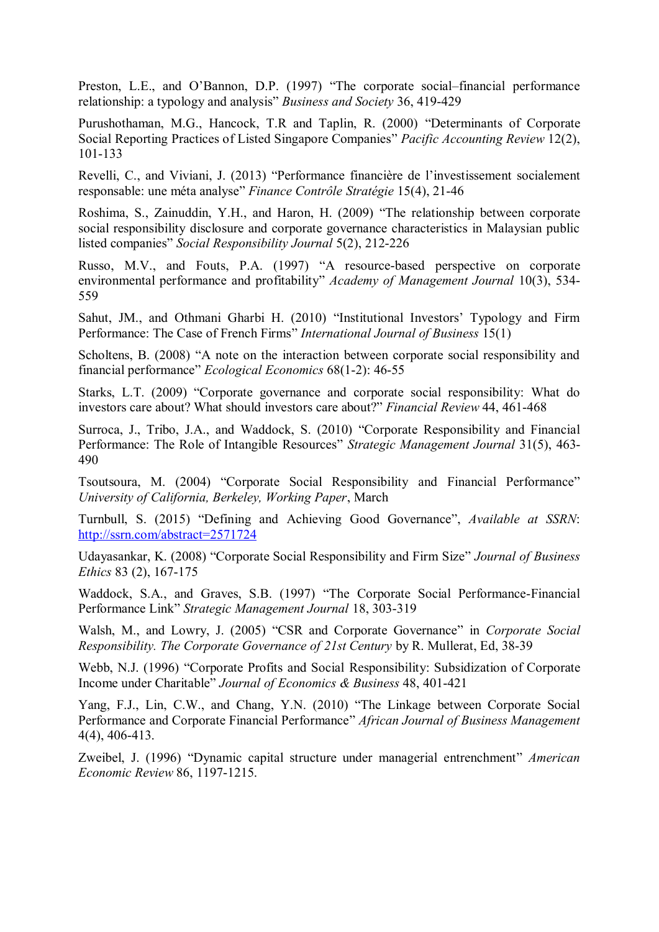Preston, L.E., and O'Bannon, D.P. (1997) "The corporate social–financial performance relationship: a typology and analysis" *Business and Society* 36, 419-429

Purushothaman, M.G., Hancock, T.R and Taplin, R. (2000) "Determinants of Corporate Social Reporting Practices of Listed Singapore Companies" *Pacific Accounting Review* 12(2), 101-133

Revelli, C., and Viviani, J. (2013) "Performance financière de l'investissement socialement responsable: une méta analyse" *Finance Contrôle Stratégie* 15(4), 21-46

Roshima, S., Zainuddin, Y.H., and Haron, H. (2009) "The relationship between corporate social responsibility disclosure and corporate governance characteristics in Malaysian public listed companies" *Social Responsibility Journal* 5(2), 212-226

Russo, M.V., and Fouts, P.A. (1997) "A resource-based perspective on corporate environmental performance and profitability" *Academy of Management Journal* 10(3), 534- 559

Sahut, JM., and Othmani Gharbi H. (2010) "Institutional Investors' Typology and Firm Performance: The Case of French Firms" *International Journal of Business* 15(1)

Scholtens, B. (2008) "A note on the interaction between corporate social responsibility and financial performance" *Ecological Economics* 68(1-2): 46-55

Starks, L.T. (2009) "Corporate governance and corporate social responsibility: What do investors care about? What should investors care about?" *Financial Review* 44, 461-468

Surroca, J., Tribo, J.A., and Waddock, S. (2010) "Corporate Responsibility and Financial Performance: The Role of Intangible Resources" *Strategic Management Journal* 31(5), 463- 490

Tsoutsoura, M. (2004) "Corporate Social Responsibility and Financial Performance" *University of California, Berkeley, Working Paper*, March

Turnbull, S. (2015) "Defining and Achieving Good Governance", *Available at SSRN*: http://ssrn.com/abstract=2571724

Udayasankar, K. (2008) "Corporate Social Responsibility and Firm Size" *Journal of Business Ethics* 83 (2), 167-175

Waddock, S.A., and Graves, S.B. (1997) "The Corporate Social Performance-Financial Performance Link" *Strategic Management Journal* 18, 303-319

Walsh, M., and Lowry, J. (2005) "CSR and Corporate Governance" in *Corporate Social Responsibility. The Corporate Governance of 21st Century* by R. Mullerat, Ed, 38-39

Webb, N.J. (1996) "Corporate Profits and Social Responsibility: Subsidization of Corporate Income under Charitable" *Journal of Economics & Business* 48, 401-421

Yang, F.J., Lin, C.W., and Chang, Y.N. (2010) "The Linkage between Corporate Social Performance and Corporate Financial Performance" *African Journal of Business Management* 4(4), 406-413.

Zweibel, J. (1996) "Dynamic capital structure under managerial entrenchment" *American Economic Review* 86, 1197-1215.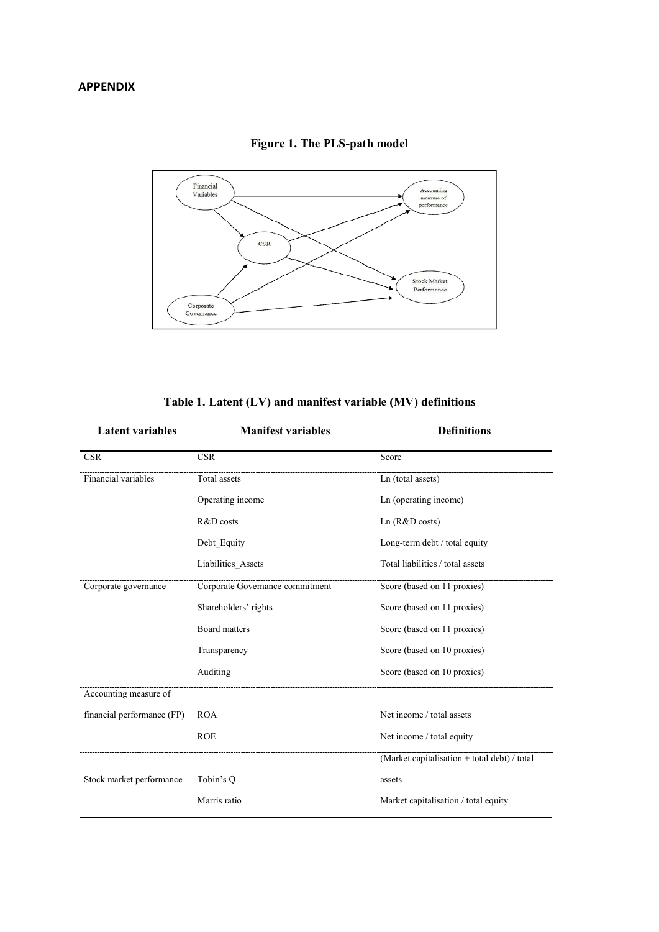

**Figure 1. The PLS-path model** 

|  | Table 1. Latent (LV) and manifest variable (MV) definitions |  |
|--|-------------------------------------------------------------|--|
|--|-------------------------------------------------------------|--|

| <b>Latent variables</b>    | <b>Manifest variables</b>       | <b>Definitions</b>                           |  |
|----------------------------|---------------------------------|----------------------------------------------|--|
| <b>CSR</b>                 | <b>CSR</b>                      | Score                                        |  |
| Financial variables        | Total assets                    | Ln (total assets)                            |  |
|                            | Operating income                | Ln (operating income)                        |  |
|                            | R&D costs                       | Ln $(R&D \text{ costs})$                     |  |
|                            | Debt_Equity                     | Long-term debt / total equity                |  |
|                            | Liabilities_Assets              | Total liabilities / total assets             |  |
| Corporate governance       | Corporate Governance commitment | Score (based on 11 proxies)                  |  |
|                            | Shareholders' rights            | Score (based on 11 proxies)                  |  |
|                            | <b>Board matters</b>            | Score (based on 11 proxies)                  |  |
|                            | Transparency                    | Score (based on 10 proxies)                  |  |
|                            | Auditing                        | Score (based on 10 proxies)                  |  |
| Accounting measure of      |                                 |                                              |  |
| financial performance (FP) | <b>ROA</b>                      | Net income / total assets                    |  |
|                            | <b>ROE</b>                      | Net income / total equity                    |  |
|                            |                                 | (Market capitalisation + total debt) / total |  |
| Stock market performance   | Tobin's Q                       | assets                                       |  |
|                            | Marris ratio                    | Market capitalisation / total equity         |  |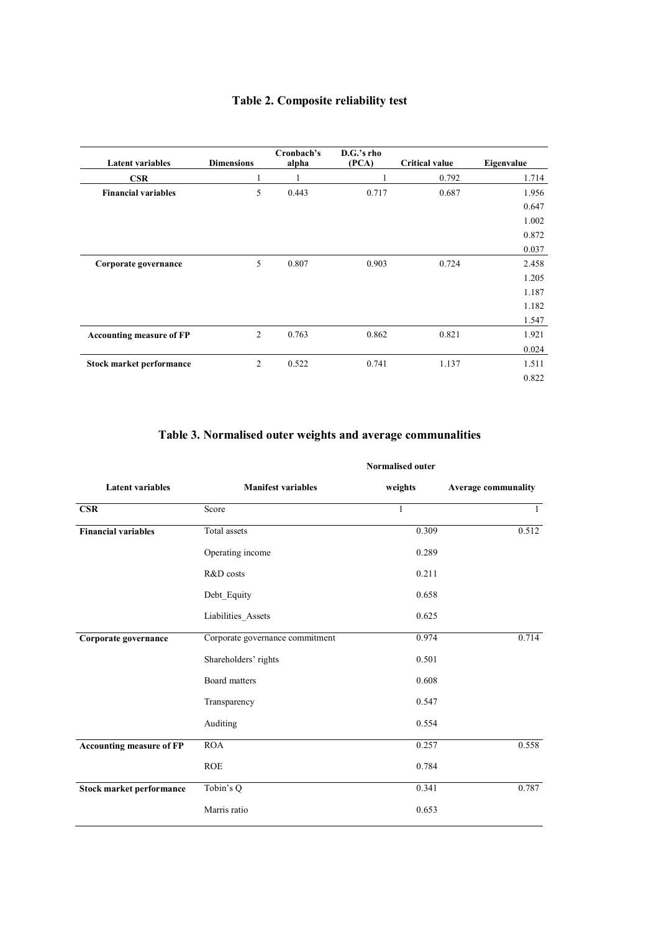## **Table 2. Composite reliability test**

| <b>Latent variables</b>         | <b>Dimensions</b> | Cronbach's<br>alpha | D.G.'s rho<br>(PCA) | <b>Critical value</b> | Eigenvalue |
|---------------------------------|-------------------|---------------------|---------------------|-----------------------|------------|
| <b>CSR</b>                      |                   |                     |                     | 0.792                 | 1.714      |
| <b>Financial variables</b>      | 5                 | 0.443               | 0.717               | 0.687                 | 1.956      |
|                                 |                   |                     |                     |                       | 0.647      |
|                                 |                   |                     |                     |                       | 1.002      |
|                                 |                   |                     |                     |                       | 0.872      |
|                                 |                   |                     |                     |                       | 0.037      |
| Corporate governance            | 5                 | 0.807               | 0.903               | 0.724                 | 2.458      |
|                                 |                   |                     |                     |                       | 1.205      |
|                                 |                   |                     |                     |                       | 1.187      |
|                                 |                   |                     |                     |                       | 1.182      |
|                                 |                   |                     |                     |                       | 1.547      |
| <b>Accounting measure of FP</b> | 2                 | 0.763               | 0.862               | 0.821                 | 1.921      |
|                                 |                   |                     |                     |                       | 0.024      |
| Stock market performance        | $\overline{2}$    | 0.522               | 0.741               | 1.137                 | 1.511      |
|                                 |                   |                     |                     |                       | 0.822      |

### **Table 3. Normalised outer weights and average communalities**

|                                 | <b>Normalised outer</b>         |              |                            |  |  |
|---------------------------------|---------------------------------|--------------|----------------------------|--|--|
| <b>Latent variables</b>         | <b>Manifest variables</b>       | weights      | <b>Average communality</b> |  |  |
| <b>CSR</b>                      | Score                           | $\mathbf{1}$ | $\mathbf{1}$               |  |  |
| <b>Financial variables</b>      | Total assets                    | 0.309        | 0.512                      |  |  |
|                                 | Operating income                | 0.289        |                            |  |  |
|                                 | R&D costs                       | 0.211        |                            |  |  |
|                                 | Debt_Equity                     | 0.658        |                            |  |  |
|                                 | Liabilities_Assets              | 0.625        |                            |  |  |
| Corporate governance            | Corporate governance commitment | 0.974        | 0.714                      |  |  |
|                                 | Shareholders' rights            | 0.501        |                            |  |  |
|                                 | Board matters                   | 0.608        |                            |  |  |
|                                 | Transparency                    | 0.547        |                            |  |  |
|                                 | Auditing                        | 0.554        |                            |  |  |
| <b>Accounting measure of FP</b> | <b>ROA</b>                      | 0.257        | 0.558                      |  |  |
|                                 | <b>ROE</b>                      | 0.784        |                            |  |  |
| Stock market performance        | Tobin's Q                       | 0.341        | 0.787                      |  |  |
|                                 | Marris ratio                    | 0.653        |                            |  |  |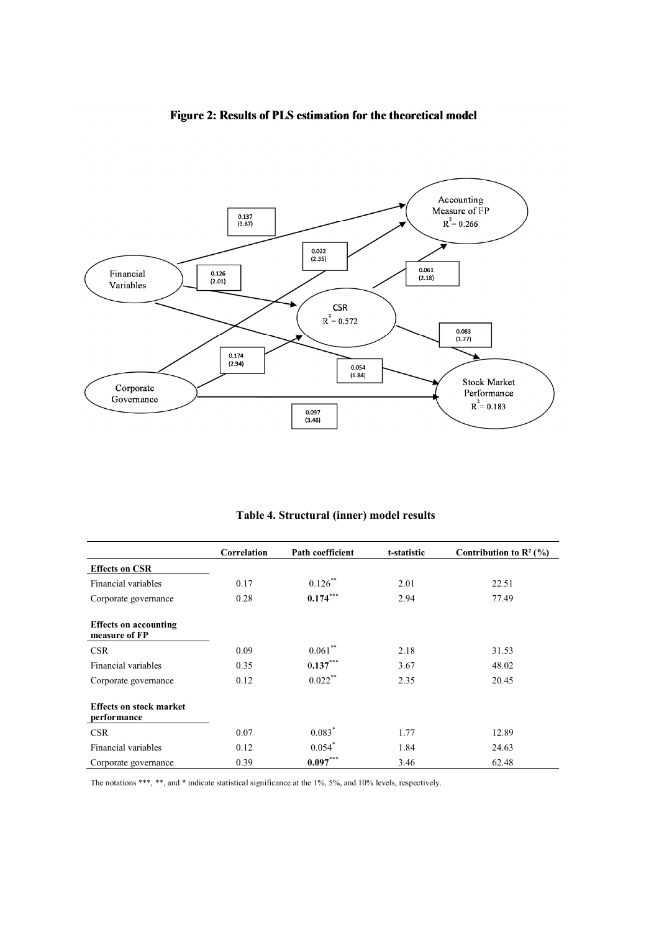

### Figure 2: Results of PLS estimation for the theoretical model

**Table 4. Structural (inner) model results**

|                                               | Correlation | Path coefficient | t-statistic | Contribution to $\mathbb{R}^2$ (%) |
|-----------------------------------------------|-------------|------------------|-------------|------------------------------------|
| <b>Effects on CSR</b>                         |             |                  |             |                                    |
| Financial variables                           | 0.17        | $0.126$ **       | 2.01        | 22.51                              |
| Corporate governance                          | 0.28        | $0.174***$       | 2.94        | 77.49                              |
| <b>Effects on accounting</b><br>measure of FP |             |                  |             |                                    |
| <b>CSR</b>                                    | 0.09        | 0.061            | 2.18        | 31.53                              |
| Financial variables                           | 0.35        | $0.137***$       | 3.67        | 48.02                              |
| Corporate governance                          | 0.12        | $0.022***$       | 2.35        | 20.45                              |
| <b>Effects on stock market</b><br>performance |             |                  |             |                                    |
| <b>CSR</b>                                    | 0.07        | $0.083*$         | 1.77        | 12.89                              |
| Financial variables                           | 0.12        | $0.054*$         | 1.84        | 24.63                              |
| Corporate governance                          | 0.39        | $0.097***$       | 3.46        | 62.48                              |

The notations \*\*\*, \*\*, and \* indicate statistical significance at the 1%, 5%, and 10% levels, respectively.